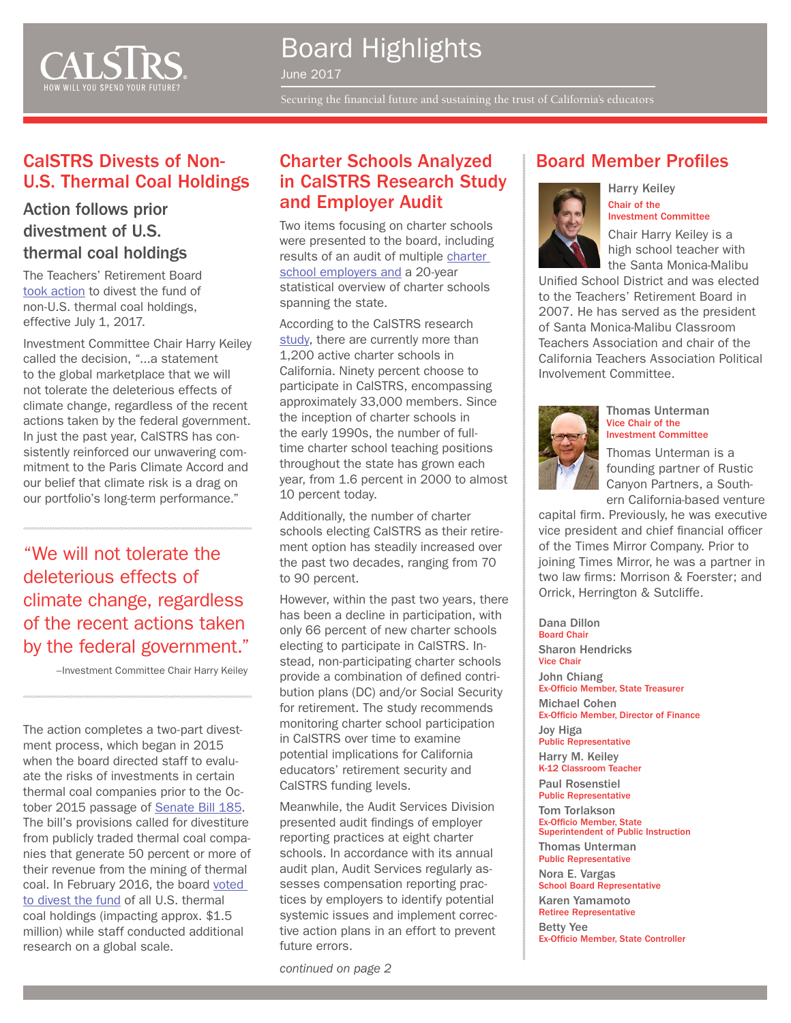

# Board Highlights

June 2017

Securing the financial future and sustaining the trust of California's educators

## CalSTRS Divests of Non-<br>
Charter Schools Analyzed  $\qquad$  Board Member Profiles U.S. Thermal Coal Holdings

### Action follows prior divestment of U.S. thermal coal holdings

The Teachers' Retirement Board [took action](http://www.calstrs.com/news-release/calstrs-takes-action-divest-all-non-us-thermal-coal-holdings) to divest the fund of non-U.S. thermal coal holdings, effective July 1, 2017.

Investment Committee Chair Harry Keiley called the decision, "...a statement to the global marketplace that we will not tolerate the deleterious effects of climate change, regardless of the recent actions taken by the federal government. In just the past year, CalSTRS has consistently reinforced our unwavering commitment to the Paris Climate Accord and our belief that climate risk is a drag on our portfolio's long-term performance."

"We will not tolerate the deleterious effects of climate change, regardless of the recent actions taken by the federal government."

–Investment Committee Chair Harry Keiley

The action completes a two-part divestment process, which began in 2015 when the board directed staff to evaluate the risks of investments in certain thermal coal companies prior to the October 2015 passage of [Senate Bill 185](http://leginfo.legislature.ca.gov/faces/billNavClient.xhtml?bill_id=201520160SB185). The bill's provisions called for divestiture from publicly traded thermal coal companies that generate 50 percent or more of their revenue from the mining of thermal coal. In February 2016, the board [voted](http://www.calstrs.com/news-release/calstrs-divests-us-thermal-coal-companies)  [to divest the fund](http://www.calstrs.com/news-release/calstrs-divests-us-thermal-coal-companies) of all U.S. thermal coal holdings (impacting approx. \$1.5 million) while staff conducted additional research on a global scale.

## in CalSTRS Research Study and Employer Audit

Two items focusing on charter schools were presented to the board, including results of an audit of multiple [charter](http://resources.calstrs.com/publicdocs/Page/CommonPage.aspx?PageName=DocumentDownload&Id=7ef4caae-375c-4cec-9f56-fb59580c297d)  [school employers and](http://resources.calstrs.com/publicdocs/Page/CommonPage.aspx?PageName=DocumentDownload&Id=7ef4caae-375c-4cec-9f56-fb59580c297d) a 20-year statistical overview of charter schools spanning the state.

According to the CalSTRS research [study](http://resources.calstrs.com/publicdocs/Page/CommonPage.aspx?PageName=DocumentDownload&Id=0edf65c2-549a-4089-9d60-7285c806d2ae), there are currently more than 1,200 active charter schools in California. Ninety percent choose to participate in CalSTRS, encompassing approximately 33,000 members. Since the inception of charter schools in the early 1990s, the number of fulltime charter school teaching positions throughout the state has grown each year, from 1.6 percent in 2000 to almost 10 percent today.

Additionally, the number of charter schools electing CalSTRS as their retirement option has steadily increased over the past two decades, ranging from 70 to 90 percent.

However, within the past two years, there has been a decline in participation, with only 66 percent of new charter schools electing to participate in CalSTRS. Instead, non-participating charter schools provide a combination of defined contribution plans (DC) and/or Social Security for retirement. The study recommends monitoring charter school participation in CalSTRS over time to examine potential implications for California educators' retirement security and CalSTRS funding levels.

Meanwhile, the Audit Services Division presented audit findings of employer reporting practices at eight charter schools. In accordance with its annual audit plan, Audit Services regularly assesses compensation reporting practices by employers to identify potential systemic issues and implement corrective action plans in an effort to prevent future errors.

*continued on page 2*



Harry Keiley Chair of the Investment Committee

Chair Harry Keiley is a high school teacher with the Santa Monica-Malibu

Unified School District and was elected to the Teachers' Retirement Board in 2007. He has served as the president of Santa Monica-Malibu Classroom Teachers Association and chair of the California Teachers Association Political Involvement Committee.



Thomas Unterman Vice Chair of the Investment Committee

Thomas Unterman is a founding partner of Rustic Canyon Partners, a Southern California-based venture

capital firm. Previously, he was executive vice president and chief financial officer of the Times Mirror Company. Prior to joining Times Mirror, he was a partner in two law firms: Morrison & Foerster; and Orrick, Herrington & Sutcliffe.

Dana Dillon Board Chair Sharon Hendricks Vice Chair John Chiang Ex-Officio Member, State Treasurer Michael Cohen Ex-Officio Member, Director of Finance Joy Higa Public Representative Harry M. Keiley K-12 Classroom Teacher Paul Rosenstiel Public Representative Tom Torlakson Ex-Officio Member, State Superintendent of Public Instruction Thomas Unterman Public Representative Nora E. Vargas School Board Representative Karen Yamamoto Retiree Representative Betty Yee

Ex-Officio Member, State Controller